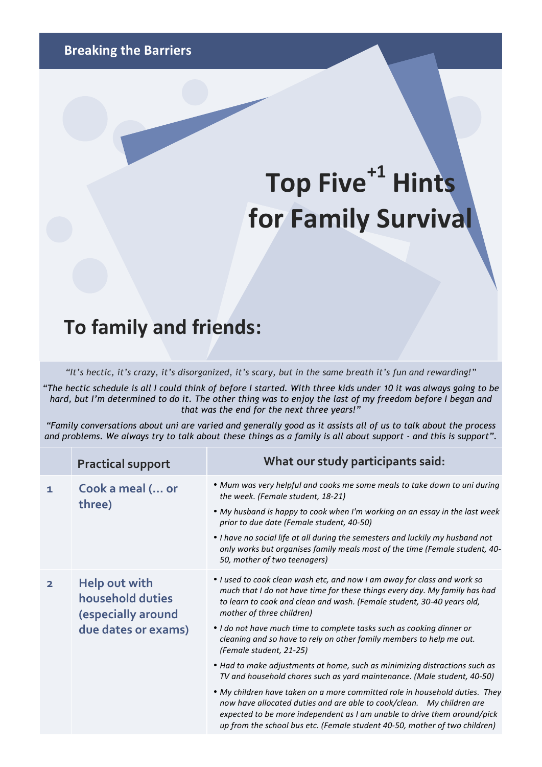## Top Five<sup>+1</sup> Hints **for Family Survival**

## **To family and friends:**

*"It's hectic, it's crazy, it's disorganized, it's scary, but in the same breath it's fun and rewarding!"* 

*"The hectic schedule is all I could think of before I started. With three kids under 10 it was always going to be hard, but I'm determined to do it. The other thing was to enjoy the last of my freedom before I began and that was the end for the next three years!"*

*"Family conversations about uni are varied and generally good as it assists all of us to talk about the process and problems. We always try to talk about these things as a family is all about support - and this is support".* 

| <b>Practical support</b>                                                       | What our study participants said:                                                                                                                                                                                                                                                                                                                                                                                                           |
|--------------------------------------------------------------------------------|---------------------------------------------------------------------------------------------------------------------------------------------------------------------------------------------------------------------------------------------------------------------------------------------------------------------------------------------------------------------------------------------------------------------------------------------|
| Cook a meal ( or<br>three)                                                     | • Mum was very helpful and cooks me some meals to take down to uni during<br>the week. (Female student, 18-21)<br>. My husband is happy to cook when I'm working on an essay in the last week<br>prior to due date (Female student, 40-50)<br>• I have no social life at all during the semesters and luckily my husband not<br>only works but organises family meals most of the time (Female student, 40-<br>50, mother of two teenagers) |
| Help out with<br>household duties<br>(especially around<br>due dates or exams) | . I used to cook clean wash etc, and now I am away for class and work so<br>much that I do not have time for these things every day. My family has had<br>to learn to cook and clean and wash. (Female student, 30-40 years old,<br>mother of three children)<br>• I do not have much time to complete tasks such as cooking dinner or<br>cleaning and so have to rely on other family members to help me out.<br>(Female student, 21-25)   |
|                                                                                | • Had to make adjustments at home, such as minimizing distractions such as<br>TV and household chores such as yard maintenance. (Male student, 40-50)<br>• My children have taken on a more committed role in household duties. They<br>now have allocated duties and are able to cook/clean. My children are                                                                                                                               |
|                                                                                | expected to be more independent as I am unable to drive them around/pick<br>up from the school bus etc. (Female student 40-50, mother of two children)                                                                                                                                                                                                                                                                                      |